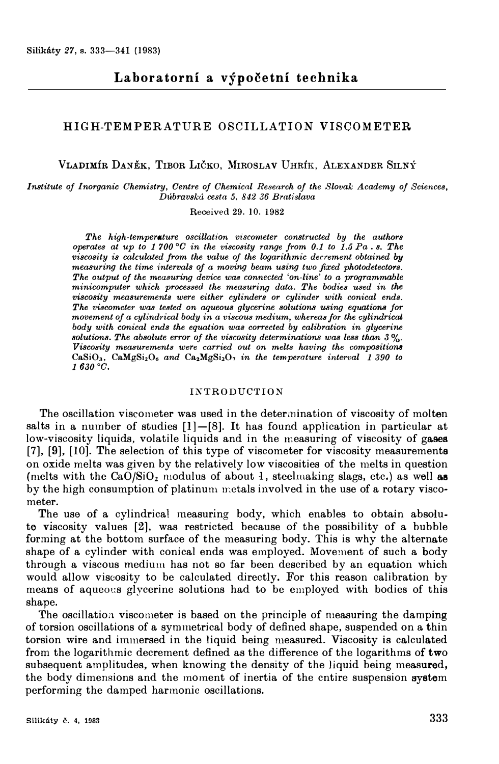# **HIGH-TEMPERATURE OSCILLATION VISCOMETER**

**VLADIMÍR DANĚK, TIBOR LIČKO, MIROSLAV UHRÍK, ALEXANDER SILNÝ** 

*Institute oj lnorganic Ohemistry, Centre oj Ohemical Research oj the Slovak Academy oj Sciences, Dúbravská cestn 5, 842 36 Brntislava* 

Received 29. 10. 1982

*The high-temperature oscillntion viscometer constructed by the authors operates at up to 1 700 °0 in the viscosity range jrom 0.1 to 1.5 Pa . s. The viscosity is calculated jrom the value oj the logarithmic decrement obtained* by *measuring the time intervals oj a moving beam using two fixed photodetect0'1's. The output oj the measuring device was connected 'on-line' to a programmable minicomputer which processed the measuring data. The bodies used in the viscosity measurements were either cylinders or cylinder with conical ends. The viscometer was tested on aqueous glycerine solutions using equations for movement oj a cylindrical body in a viscous medium, whereas Jor the cylindricat body with conical ends the equation was corrected by calibration in glycerine solutions. The absolute error oj the viscosity determinations was less than 3 % Viscosity measurements were carried out on melts having the compositions* CaSi0<sup>3</sup> , CaMgSi206 *and* Ca,MgSi207 *in the temperature interval 1 390 to 1630 °G.* 

### INTRODUCTION

The oscillation viscometer was used in the determination of viscosity of molten salts in a number of studies [l]-[8]. It has found application in particular at low-viscosity liquids, volatile liquids and in the measuring of viscosity of gases [7], [9], [10]. The selection of this type of viscometer for viscosity measurements on oxide melts was given by the relatively low viscosities of the melts in question (melts with the  $CaO/SiO<sub>2</sub>$  modulus of about 1, steelmaking slags, etc.) as well as by the high consumption of platinum n:ctals involved in the use of a rotary viscometer.

The use of a cylindrical measuring body, which enables to obtain absolute viscosity values [2], was restricted because of the possibility of a bubble forming at the bottom surface of the measuring body. This is why the alternate shape of a cylinder with conical ends was employed. Movement of such a body through a viscous medium has not so far been described by an equation which would allow viscosity to be calculated directly. For this reason calibration by means of aqueous glycerine solutions had to be employed with bodies of this shape.

The oscillation viscometer is based on the principle of measuring the damping of torsion oscillations of a symmetrical body of defined shape, suspended on a thin torsion wire and immersed in the liquid being measured. Viscosity is calculated from the logarithmic decrement defined as the difference of the logarithms of two subsequent amplitudes, when knowing the density of the liquid being measured, the body dimensions and the moment of inertia of the cntire suspension system performing the damped harmonie oscillations.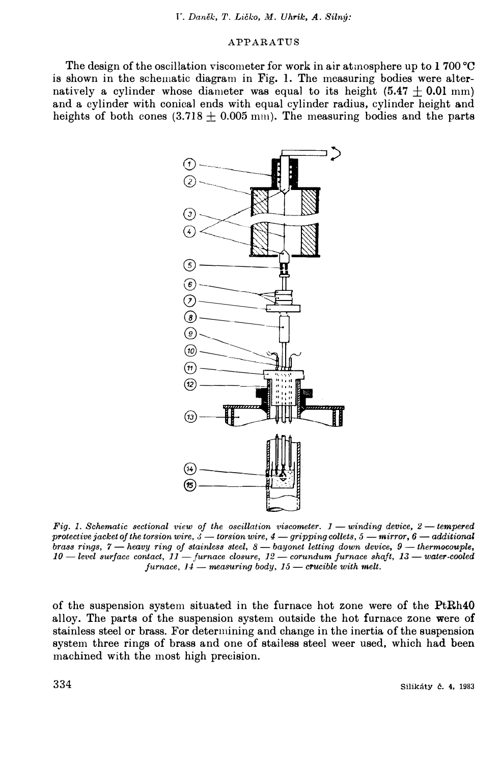*V. Daněk, T. Ličko, M. Uhrík, A. Silný:* 

# APPARATUS

The design of the oscillation viscometer for work in air atmosphere up to 1 700  $^{\circ}$ C is shown in the schematic diagram in Fig. 1. The measuring bodies were alternatively a cylinder whose diameter was equal to its height  $(5.47 \pm 0.01 \text{ mm})$ and a cylinder with conical ends with equal cylinder radius, cylinder height and heights of both cones  $(3.718 \pm 0.005 \text{ mm})$ . The measuring bodies and the parts



*Fig. 1. Schematic sectional view of the oscillation viscometer. 1 — winding device, 2 — tempered protectivejacket oj the torsion wire, J - torsion wire, 4* - *gripping collets, 5* -*mirror, 6* - *additional brass rings, 7* - *heavy ring of stainless steel, 8* - *bayonet letting down device, 9* - *thermocouple, 10* - *level surjace contact, 11* -*jurnace closure, 12* - *corundum jurnace shajt, 13* - *water-cooled*   $furnace, 14$  — *measuring body, 15* — *crucible with melt.* 

of the suspension system situated in the furnace hot zone were of the PtRh40 alloy. The parts of the suspension system outside the hot furnace zone were of stainless steel or brass. For determining and change in the inertia of the suspension system three rings of brass and one of stailess steel weer used, which had been machined with the most high precisíon.

**334 Silikáty č. 4, 1983**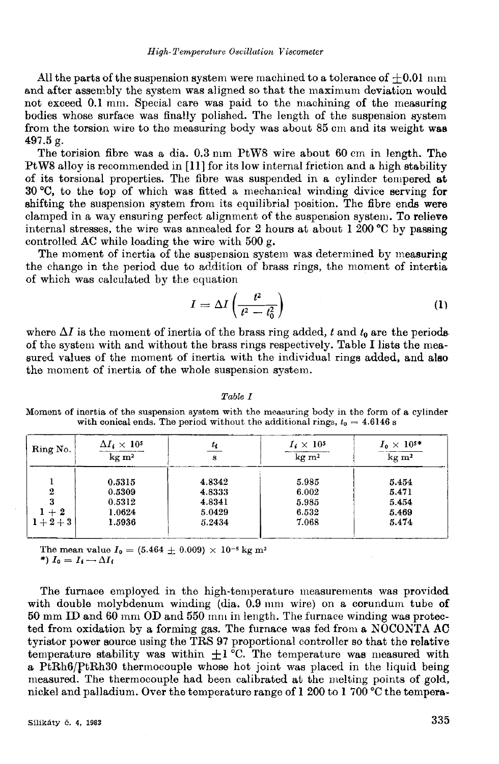All the parts of the suspension system were machined to a tolerance of  $+0.01$  nm and after assembly the system was aligned so that the maximum deviation would not exceed 0.1 mm. Special care was paid to the machining of the measuring bodies whose surface was finally polished. The length of the suspension system from the torsion wire to the measuring body was about 85 cm and its weight was 497.5 g.

The torision fibre was a dia. 0.3 mm PtW8 wire about 60 cm in length. The PtW8 alloy is recommended in [11] for its low internal friction and a high stability of its torsional properties. The fibre was suspended in a cylinder tempered at 30 °C, to the top of which was fitted a mechanical winding divice serving for shifting the suspension system from its equilibrial position. The fibre ends were clamped in a way ensuring perfect alignment of the suspension system. To relieve internal stresses, the wire was annealed for 2 hours at about 1 200  $\degree$ C by passing controlled AC while loading the wire with 500 g.

The moment of inertia of the suspension system was determined by measuring the change in the period due to addition of brass rings, the moment of intertia of which was calculated by the equation

$$
I = \Delta I \left( \frac{t^2}{t^2 - t_0^2} \right) \tag{1}
$$

where  $\Delta I$  is the moment of inertia of the brass ring added, t and  $t_0$  are the periods of the system with and without the brass rings respectively. Table I lists the measured values of the moment of inertia with the individual rings added, and also the moment of inertia of the whole suspension system.

| $\text{kg} \text{ m}^2$ | ŧе<br>s                                        | $I_i \times 10^5$<br>$\text{kg} \text{ m}^2$ | $I_0\times 10^{5\ast}$<br>$\overline{\text{kg m}^2}$ |
|-------------------------|------------------------------------------------|----------------------------------------------|------------------------------------------------------|
|                         | 4.8342                                         | 5.985                                        | 5.454                                                |
|                         | 4.8333                                         | 6.002                                        | 5.471                                                |
|                         | 4.8341                                         | 5.985                                        | 5.454                                                |
|                         | 5.0429                                         | 6.532                                        | 5.469                                                |
|                         | 5.2434                                         | 7.068                                        | 5.474                                                |
|                         | 0.5315<br>0.5309<br>0.5312<br>1.0624<br>1.5936 |                                              |                                                      |

Table I

Moment of inertia of the suspension system with the measuring body in the form of a cylinder with conical ends. The period without the additional rings,  $t_0 = 4.6146$  s

The mean value  $I_0 = (5.464 \pm 0.009) \times 10^{-5}$  kg m<sup>2</sup> \*)  $I_0 = I_i - \Delta I_i$ 

The furnace employed in the high-temperature measurements was provided with double molybdenum winding (dia,  $0.9 \text{ mm}$  wire) on a corundum tube of 50 mm ID and 60 mm OD and 550 mm in length. The furnace winding was protected from oxidation by a forming gas. The furnace was fed from a NOCONTA AC tyristor power source using the TRS 97 proportional controller so that the relative temperature stability was within  $\pm 1^{\circ}$ C. The temperature was measured with a PtRh6/PtRh30 thermocouple whose hot joint was placed in the liquid being measured. The thermocouple had been calibrated at the melting points of gold, nickel and palladium. Over the temperature range of 1 200 to 1 700 °C the tempera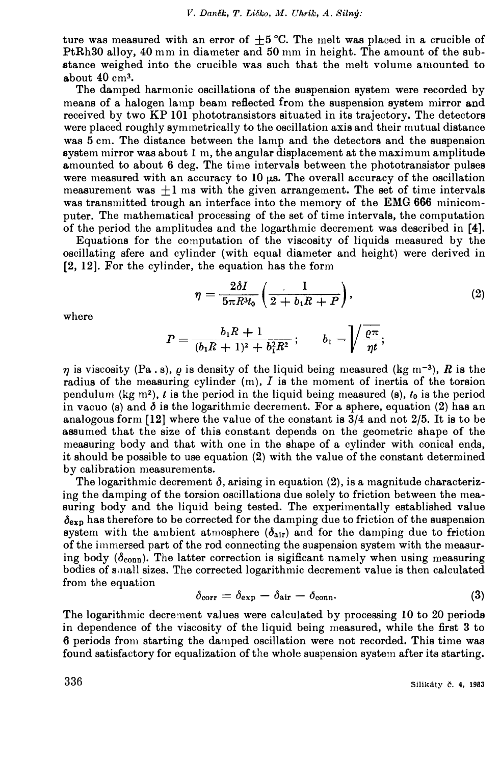ture was measured with an error of  $+5$  °C. The melt was placed in a crucible of PtRh30 alloy, 40 mm in diameter and 50 mm in height. The amount of the sub .stance weighed into the crucible was such that the melt volume amounted to a.bout 40 cm**3•** 

The damped harmonic oscillations of the suspension system were recorded by means of a halogen lamp beam reflected from the suspension system mirror and received by two KP **101** phototransistors situated in its trajectory. The detectors were placed roughly symmetrically to the oscillation axis and their mutual distance was 5 cm. The distance between the lamp and the detectors and the suspension system mirror was about 1 m, the angular displacement at the maximum amplituda amounted to about 6 deg. The time intervals between the phototransistor pulses were measured with an accuracy to **10** µs. The overall accuracy of the oscillation measurement was  $+1$  ms with the given arrangement. The set of time intervals was transmitted trough an interface into the memory of the EMG **666** minicomputer. The mathematical processing of the set of time intervals, the computation of the period the amplitudes and the logarthmic decrement was described in **[4].** 

Equations for the computation of the viscosity of Iiquids measured by the oscillating sfere and cylinder (with equal diameter and height) were derived in **[2, 12].** For the cylinder, the equation has the form

$$
\eta = \frac{2\delta I}{5\pi R^3 t_0} \left( \frac{1}{2 + b_1 R + P} \right),\tag{2}
$$

where

$$
P=\frac{b_1R+1}{(b_1R+1)^2+b_1^2R^2}\,;\qquad b_1=\left\vert\!\!\left\langle\frac{\varrho\pi}{\eta t};\right.\right.
$$

 $\eta$  is viscosity (Pa. s),  $\rho$  is density of the liquid being measured (kg m<sup>-3</sup>), R is the radius of the measuring cylinder  $(m)$ ,  $I$  is the moment of inertia of the torsion pendulum (kg  $m^2$ ), *t* is the period in the liquid being measured (s),  $t_0$  is the period in vacuo (s) and  $\delta$  is the logarithmic decrement. For a sphere, equation (2) has an analogous form **[12]** where the value of the constant is 3/4 and not 2/5. It is to be assumed that the size of this constant depends on the geometric shape of the measuring body and that with one in the shape of a cylinder with conical ends, it should be possible to use equation (2) with the value of the constant determined by calibration measurements.

The logarithmic decrement  $\delta$ , arising in equation (2), is a magnitude characterizing the damping of the torsion oscillations due solely to friction between the measuring body and the liquid being tested. The experirnentally established value  $\delta_{\text{exp}}$  has therefore to be corrected for the damping due to friction of the suspension system with the ambient atmosphere  $(\delta_{air})$  and for the damping due to friction of the immersed part of the rod connecting the suspension system with the measuring body ( $\delta_{\text{conn}}$ ). The latter correction is sigificant namely when using measuring bodies of Sinali sizes. The corrected logarithmic decrement value is thcn calculated from the equation

$$
\delta_{\text{corr}} = \delta_{\text{exp}} - \delta_{\text{air}} - \delta_{\text{conn}}.\tag{3}
$$

The logarithmic decrement values were calculated by processing 10 to 20 periods in dependence of the viscosity of the liquid being rneasured, while the first 3 to -O periods from starting the damped oscillation were not recorded. This time was found satisfactory for equalization of the wholc suspension system after its starting.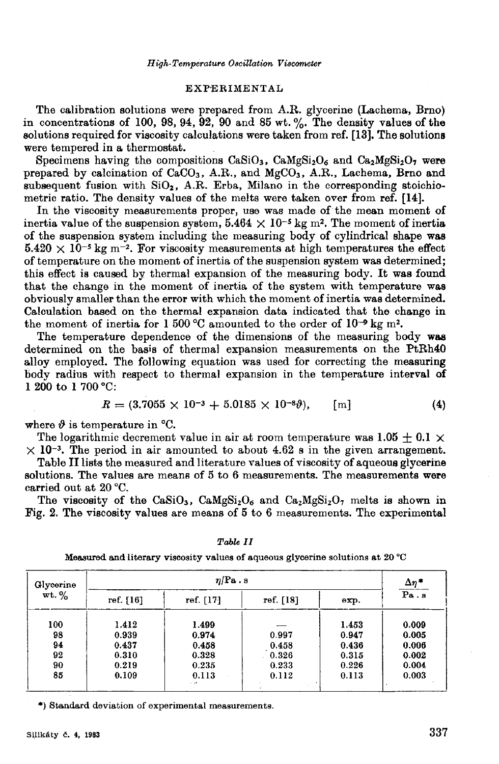## **EXPERIMENTAL**

The calibration solutions were prepared from A.R. glycerine (Lachema, Brno) in concentrations of 100, 98, 94, 92, 90 and 85 wt. %. The density values of the solutions required for viscosity calculations were taken from ref. [13]. The solutions were tempered in a thermostat.

Specimens having the compositions  $CaSiO<sub>3</sub>$ ,  $CaMgSi<sub>2</sub>O<sub>6</sub>$  and  $Ca<sub>2</sub>MgSi<sub>2</sub>O<sub>7</sub>$  were prepared by calcination of CaCO<sub>3</sub>, A.R., and MgCO<sub>3</sub>, A.R., Lachema, Brno and subsequent fusion with  $SiO<sub>2</sub>$ , A.R. Erba, Milano in the corresponding stoichiometric ratio. The density values of the melts were taken over from ref. [14].

In the viscosity measurements proper, use was made of the mean moment of inertia value of the suspension system,  $5.464 \times 10^{-5}$  kg m<sup>2</sup>. The moment of inertia of the suspension system including the measuring body of cylindrical shape was  $5.420 \times 10^{-5}$  kg m<sup>-2</sup>. For viscosity measurements at high temperatures the effect of temperature on the moment of inertia of the suspension system was determined; this effect is caused by thermal expansion of the measuring body. It was found that the change in the moment of inertia of the system with temperature was obviously smaller than the error with which the moment of inertia was determined. Calculation based on the thermal expansion data indicated that the change in the moment of inertia for 1 500 °C amounted to the order of  $10^{-9}$  kg m<sup>2</sup>.

The temperature dependence of the dimensions of the measuring body was determined on the basis of thermal expansion measurements on the PtRh40 alloy employed. The following equation was used for correcting the measuring body radius with respect to thermal expansion in the temperature interval of 1 200 to 1 700 °C:

$$
R = (3.7055 \times 10^{-3} + 5.0185 \times 10^{-8}\theta), \qquad [m] \tag{4}
$$

where  $\vartheta$  is temperature in °C.

The logarithmic decrement value in air at room temperature was 1.05 + 0.1  $\times$  $\times$  10<sup>-3</sup>. The period in air amounted to about 4.62 s in the given arrangement.

Table II lists the measured and literature values of viscosity of aqueous glycerine solutions. The values are means of 5 to 6 measurements. The measurements were carried out at 20 °C.

The viscosity of the CaSiO<sub>3</sub>, CaMgSi<sub>2</sub>O<sub>6</sub> and Ca<sub>2</sub>MgSi<sub>2</sub>O<sub>7</sub> melts is shown in Fig. 2. The viscosity values are means of 5 to 6 measurements. The experimental

| $\eta$   Pa.s         |             |           |       | $\frac{\Delta \eta^*}{\text{Pa} \cdot \text{s}}$ |
|-----------------------|-------------|-----------|-------|--------------------------------------------------|
| $wt. \%$<br>ref. [16] | ref. $[17]$ | ref. [18] | exp.  |                                                  |
| 1.412                 | 1.499       |           | 1.453 | 0.009                                            |
| 0.939                 | 0.974       | 0.997     | 0.947 | 0.005                                            |
| 0.437                 | 0.458       | 0.458     | 0.436 | 0.006                                            |
| 0.310                 | 0.328       | 0.326     | 0.315 | 0.002                                            |
| 0.219                 | 0.235       | 0.233     | 0.226 | 0.004                                            |
| 0.109                 | 0.113       | 0.112     | 0.113 | 0.003                                            |
|                       |             | $-1$      |       |                                                  |

Table II

Measured and literary viscosity values of aqueous glycerine solutions at 20 °C

\*) Standard deviation of experimental measurements.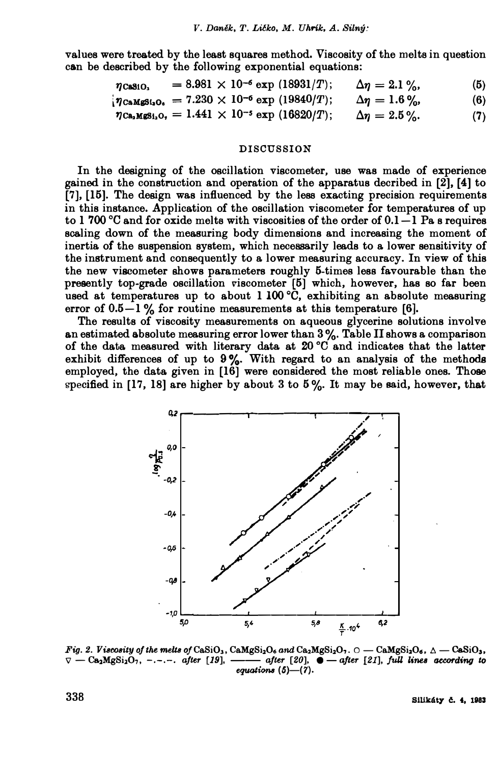**values were treated by the least squares method, Viscosity of the melta in question can be described by the following exponential equations:** 

| $\eta$ CaSiO <sub>3</sub> | $= 8.981 \times 10^{-6}$ exp (18931/T); | $\Delta \eta = 2.1 \%$ | (5) |
|---------------------------|-----------------------------------------|------------------------|-----|
|---------------------------|-----------------------------------------|------------------------|-----|

 $\eta_{\text{CaMgs1}_2\text{O}_6} = 7.230 \times 10^{-6} \text{ exp } (19840/T); \qquad \Delta \eta = 1.6\%,$ <br>  $\eta_{\text{CaMgs1}_2\text{O}_7} = 1.441 \times 10^{-5} \text{ exp } (16820/T); \qquad \Delta \eta = 2.5\%,$  (7)

 $\eta_{\text{Ca}_2\text{MgSi}_2\text{O}_7} = 1.441 \times 10^{-5} \exp{(16820/T)}; \quad \Delta \eta = 2.5 \%$  (7)

### **DISCUSSION**

**In the designing of the oscillation viscometer, use was made of experience**  gained in the construction and operation of the apparatus decribed in  $[2]$ ,  $[4]$  to **[7], [15]. The design wa.s influenced by the lesa exacting precision requirements in this instance. Application of the oscillation viscometer for temperatures of up to 1 700 °C and for oxide melta with viscosities of the order of 0.1-1 Pa. s requires**  scaling down of the measuring body dimensions and increasing the moment of inertia of the suspension system, which necessarily leads to a lower sensitivity of the instrument and consequently to a lower measuring accuracy. In view of this the new viscometer shows parameters roughly 5-times less favourable than the presently top-grade oscillation viscometer [5] which, however, has so far been used at temperatures up to about 1 100 °C, exhibiting an absolute measuring error of  $0.5-1\%$  for routine measurements at this temperature [6].

The results of viscosity measurements on aqueous glycerine solutions involve **a**n estimated absolute measuring error lower than  $3\%$ . Table II shows a comparison of the data measured with literary data at 20 °C and indicates that the latter exhibit differences of up to 9%. With regard to an analysis of the methods employed, the data given in [16] were considered the most reliable ones. Those specified in  $[17, 18]$  are higher by about 3 to  $5\%$ . It may be said, however, that



 $Fig. 2.$  *Viacoaity of the melta of CaSiO*<sub>3</sub>, CaMgSi<sub>2</sub>O<sub>6</sub> and Ca<sub>2</sub>MgSi<sub>2</sub>O<sub>7</sub>.  $\circ$  - CaMgSi<sub>2</sub>O<sub>6</sub>,  $\wedge$  - CaSiO<sub>3</sub>,  $\nabla$  -- $\mathsf{Ca}_2\mathsf{M}g\mathsf{Si}_2\mathsf{O}_7$ , -.-.-. after [19], ----- after [20],  $\bullet$  --after [21], full lines according to equations (5)-(7).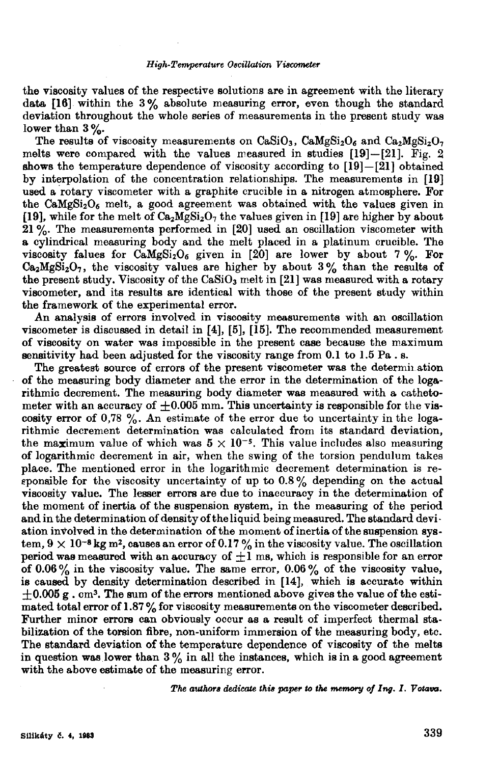the viscosity values of the respective solutions are in agreement with the literary data  $[16]$  within the 3% absolute measuring error, even though the standard deviation throughout the whole series of measurements in the present study was lower than  $3\%$ .

The results of viscosity measurements on  $CaSiO<sub>3</sub>$ ,  $CaMgSi<sub>2</sub>O<sub>6</sub>$  and  $Ca<sub>2</sub>MgSi<sub>2</sub>O<sub>7</sub>$ melts were compared with the values measured in studies  $[19]-[21]$ . Fig. 2 shows the temperature dependence of viscosity according to  $[19]-[21]$  obtained by interpolation of the concentration relationships. The measurements in [19] used a rotary viscometer with a graphite crucible in a nitrogen atmosphere. For the  $\text{CaMgSi}_2\text{O}_6$  melt, a good agreement was obtained with the values given in [19], while for the melt of  $Ca<sub>2</sub>MgSi<sub>2</sub>O<sub>7</sub>$  the values given in [19] are higher by about 21 %. The measurements performed in [20] used an oscillation viscometer with a cylindrical measuring body and the melt placed in a platinum crucible. The viscosity falues for  $\tilde{C}_0Mg\tilde{Si}_2O_6$  given in [20] are lower by about 7%. For  $Ca<sub>2</sub>MgSi<sub>2</sub>O<sub>7</sub>$ , the viscosity values are higher by about 3% than the results of the present study. Viscosity of the  $CaSiO<sub>3</sub>$  melt in [21] was measured with a rotary viscometer, and its results are identical with those of the present study within the framework of the experimental error.

An analysis of errors involved in viscosity measurements with an oscillation viscometer is discussed in detail in [4], [5], [15]. The recommended measurement of viscosity on water was impossible in the present case because the maximum sensitivity had been adjusted for the viscosity range from 0.1 to 1.5 Pa. s.

The greatest source of errors of the present viscometer was the determination of the measuring body diameter and the error in the determination of the logarithmic decrement. The measuring body diameter was measured with a cathetometer with an accuracy of  $+0.005$  mm. This uncertainty is responsible for the viscosity error of  $0.78\%$ . An estimate of the error due to uncertainty in the logarithmic decrement determination was calculated from its standard deviation, the maximum value of which was  $5 \times 10^{-5}$ . This value includes also measuring of logarithmic decrement in air, when the swing of the torsion pendulum takes place. The mentioned error in the logarithmic decrement determination is responsible for the viscosity uncertainty of up to  $0.8\%$  depending on the actual viscosity value. The lesser errors are due to inaccuracy in the determination of the moment of inertia of the suspension system, in the measuring of the period and in the determination of density of the liquid being measured. The standard deviation involved in the determination of the moment of inertia of the suspension system,  $9 \times 10^{-8}$  kg m<sup>2</sup>, causes an error of 0.17% in the viscosity value. The oscillation period was measured with an accuracy of  $\pm 1$  ms, which is responsible for an error of 0.06% in the viscosity value. The same error, 0.06% of the viscosity value, is caused by density determination described in [14], which is accurate within  $\pm 0.005$  g, cm<sup>3</sup>. The sum of the errors mentioned above gives the value of the estimated total error of 1.87% for viscosity measurements on the viscometer described. Further minor errors can obviously occur as a result of imperfect thermal stabilization of the torsion fibre, non-uniform immersion of the measuring body, etc. The standard deviation of the temperature dependence of viscosity of the melts in question was lower than  $3\%$  in all the instances, which is in a good agreement with the above estimate of the measuring error.

The authors dedicate this paper to the memory of Ing. I. Votava.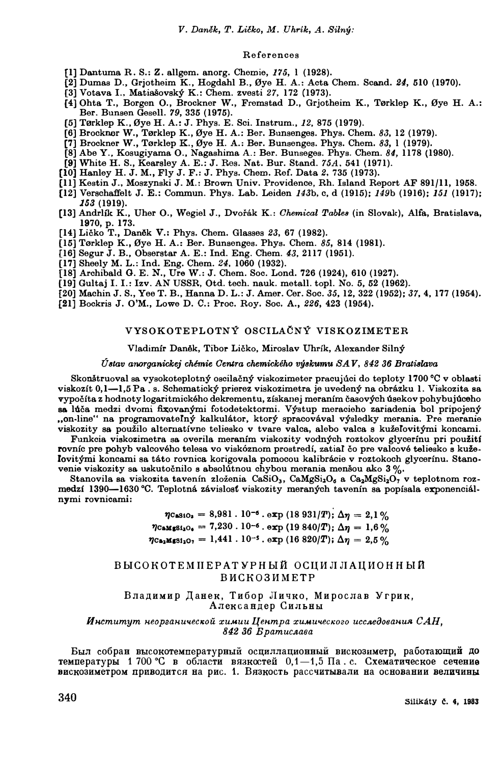*V. Daněk, T. Ličko, M. Uhrík, A. Silný:* 

#### **References**

- **{1] Da.ntuma R. S.: Z. allgem. anorg. Chemie, 175, l (1928).**
- [2] Dumas D., Grjotheim K., Hogdahl B., Øye H. A.: Acta Chem. Scand. 24, 510 (1970).
- **[3] Votava I., Matiašovský K.: Chem. zvesti** *27,* **172 (1973).**
- **{4] Ohta T., Borgen O., Brockner W., Fremstad D., Grjotheim K., T0rklep K., 0ye H. A.: Ber. Bunsen Gesell. 79, 335 (1975).**
- **[5] T0rklep K., 0ye H. A.: J. Phys. E. Sci. Instrum.,** *12,* **875 (1979).**
- **[6] Brockner W., T0rklep K., 0ye H. A.: Ber. Bunsenges. Phys. Chem.** *83,* **12 (1979).**
- **(7] Brockner W., T0rklep** K., **0ye H. A.: Ber. Bunsenges. Phys. Chem,** *83,* **l (1979),**
- **[8] Abe Y., Kosugiyama O., Nagashima A.: Ber. Bunseges. Phys. Chem.** *84,* **1178 (1980).**
- **[9] White H. S., Kearsley A. E.: J. Res. Nat. Bur. Stand.** *75A,* **541 (1971).**
- **[10] Hanley H. J. M., Fly J. F.: J. Phys. Chem. Ref. Data** *2,* **735 (1973).**
- **[11] Kestin J., Moszynski J. M.: Brown Univ. Providence, Rh. Island Report AF 891/11, 1958.**
- **(12] Verschaffelt J. E.: Commun. Phys. Lab. Leiden** *143b,* **c, d (1915);** *149b* **(1916);** *151* **(1917);**  *153* **(1919).**
- **(13] Andrlík K., Uher O., Wegiel J., Dvořák K.:** *Ohemical Tablea* **(in Slovak), Alfa, Bratislava, 1970, p. 173.**
- **[14] Ličko T., Daněk V.: Phys. Chem. Glasses** *23,* **67 (1982).**
- **(15] T0rklep K., 0ye H. A.: Ber. Bunsenges. Phys. Chem.** *85,* **814 (1981).**
- **[16] Segur J. B., Obserstar A. E.: Ind. Eng. Chem.** *43,* **2117 (1951).**
- **(17] Sheely M. L.: Ind. Eng. Chem.** *24,* **1060 (1932).**
- **[18] Archibald O. E. N., Ure W.: J. Chem. Soc. Lond. 726 (1924), 610 (1927).**
- **(19] Gultaj I. I.: Izv. AN USSR, Otd. tech. nauk. metall. topl. No. 5, 52 (1962).**
- **[20] Machin J. S., Yee T. B., Hanna D. L.: J. Amer. Cer. Soc.** *35,* **12, 322 (1952);** *37,* **4, 177 (1954).**
- **[21] Bockris J. O'M., Lowe D. C.: Proc. Roy, Soc, A.,** *226,* **423 (1954).**

### **VYSOKOTEPLOTNÝ OSCILAÓNÝ VISKOZIMETER**

#### **Vladimír Daněk, Tibor Ličko, Miroslav Uhrík, Alexander Silný**

#### *Úatav anorganickej chémie Gemra chemiekého výakumu SAV, 842 36 BratiBlava*

**Skonštruoval sa vysokoteplotný oscilačný viskozimeter pracujúci do teploty 1700** °0 **v oblasti viskozít 0,1-1,5 Pa . s. Schematický prierez viskozimetra je uvedený na obrázku 1. Viskozita sa vypočíta z hodnoty logaritmického dekrementu, získa.nej meraním časových úsekov pohybujúceho**  sa lúča medzi dvomi fixovanými fotodetektormi. Výstup meracieho zariadenia bol pripojený "on-line" na programovateľný kalkulátor, ktorý spracovával výsledky merania. Pre meranie viskozity sa použilo alternatívne teliesko v tvare valca, alebo valca s kužeľovitými koncami.

Funkcia viskozimetra sa overila meraním viskozity vodných roztokov glycerínu pri použití **rovníc pre pohyb valcového telesa vo viskóznom prostredí, zatiaf čo pre valcové teliesko s kuželovitými koncami sa táto rovnica. korigovala pomocou kalibrácie v roztokoch glycerínu. Stano•**  venie viskozity sa uskutočnilo s absolútnou chybou merania menšou ako 3 %.

**Stanovila sa viskozita tavenín zloženia CaSi03, CaMgSi206 a Ca2MgSi207 v teplotnom rozmedzí 1390-1630 •c. Teplotná závislost viskozity meraných tavenín sa popísala exponenciálnymi rovnioami:** 

> $\eta$ CaS<sub>10</sub><sup>2</sup> = 8,981 . 10<sup>-6</sup> · exp (18 931/T);  $\Delta \eta = 2.1$  %  $\eta_{\text{CaMg81}_2\text{O}_6} = 7{,}230 \cdot 10^{-6}$ .  $\exp{(19.840/T)}$ ;  $\Delta \eta = 1{,}6\%$  $\eta_{\text{Ca}_2\text{MgS1}_2\text{O}_7} = 1,441 \cdot 10^{-5}$ . exp (16 820/T);  $\Delta\eta = 2.5\%$

# $B$   $B$   $B$  $C$  $O$  $K$  $O$  $T$  $E$  $M$  II  $E$  $P$  $AT$  $S$  $P$  $H$  $L$  $\tilde{M}$   $O$   $C$  $I$  $I$  $M$  $J$  $I$  $J$  $I$  $M$  $O$  $H$  $H$  $L$  $\tilde{M}$ BMCK03HMETP

Владимир Данек, Тибор Личко, Мирослав Угрик, Александер Сильны

#### *H1-1.cmumym HeopaaHu1teC1'0U xu.uuu I.{e1-1.mpa xUMu1tec,wao ucc.ae8oea1-1.UA CAH,*  842 36 *B* pamucnasa

Был собран высокотемпературный осциллационный вискозиметр, работающий до температуры 1 700 °С в области вязкостей 0,1-1,5 Па. с. Схематическое сечение **вискозиметром приводится на рис. 1. Вязкость рассчитывали на основании величины**